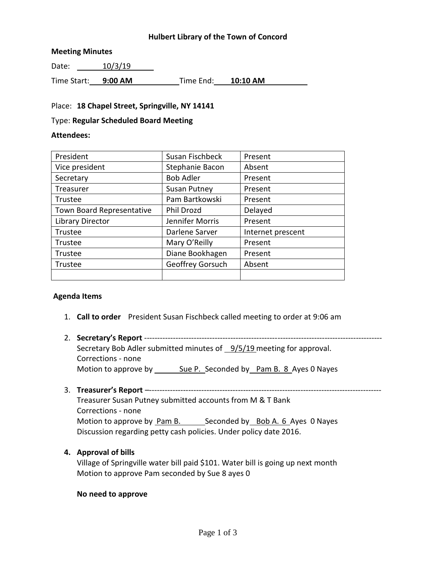# **Hulbert Library of the Town of Concord**

#### **Meeting Minutes**

Date: 10/3/19

Time Start: **9:00 AM** Time End: **10:10 AM**

## Place: **18 Chapel Street, Springville, NY 14141**

#### Type: **Regular Scheduled Board Meeting**

### **Attendees:**

| Susan Fischbeck     | Present           |
|---------------------|-------------------|
| Stephanie Bacon     | Absent            |
| <b>Bob Adler</b>    | Present           |
| <b>Susan Putney</b> | Present           |
| Pam Bartkowski      | Present           |
| Phil Drozd          | Delayed           |
| Jennifer Morris     | Present           |
| Darlene Sarver      | Internet prescent |
| Mary O'Reilly       | Present           |
| Diane Bookhagen     | Present           |
| Geoffrey Gorsuch    | Absent            |
|                     |                   |
|                     |                   |

# **Agenda Items**

- 1. **Call to order** President Susan Fischbeck called meeting to order at 9:06 am
- 2. **Secretary's Report** ------------------------------------------------------------------------------------------- Secretary Bob Adler submitted minutes of 9/5/19 meeting for approval. Corrections - none Motion to approve by Sue P. Seconded by Pam B. 8 Ayes 0 Nayes

# 3. **Treasurer's Report** –-----------------------------------------------------------------------------------------

Treasurer Susan Putney submitted accounts from M & T Bank Corrections - none Motion to approve by Pam B. Seconded by Bob A. 6 Ayes 0 Nayes Discussion regarding petty cash policies. Under policy date 2016.

#### **4. Approval of bills**

Village of Springville water bill paid \$101. Water bill is going up next month Motion to approve Pam seconded by Sue 8 ayes 0

#### **No need to approve**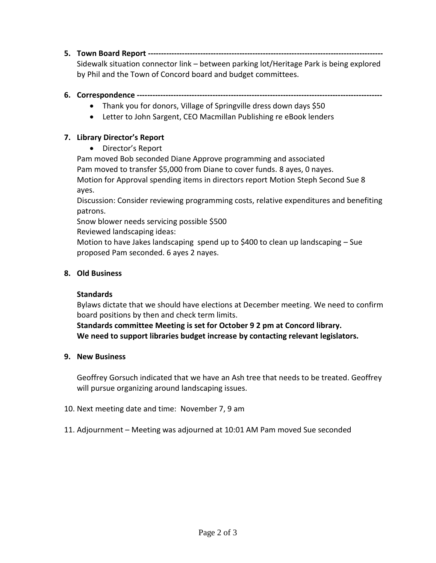**5. Town Board Report ------------------------------------------------------------------------------------------**

Sidewalk situation connector link – between parking lot/Heritage Park is being explored by Phil and the Town of Concord board and budget committees.

# **6. Correspondence ----------------------------------------------------------------------------------------------**

- Thank you for donors, Village of Springville dress down days \$50
- Letter to John Sargent, CEO Macmillan Publishing re eBook lenders

# **7. Library Director's Report**

Director's Report

Pam moved Bob seconded Diane Approve programming and associated Pam moved to transfer \$5,000 from Diane to cover funds. 8 ayes, 0 nayes. Motion for Approval spending items in directors report Motion Steph Second Sue 8 ayes.

Discussion: Consider reviewing programming costs, relative expenditures and benefiting patrons.

Snow blower needs servicing possible \$500

Reviewed landscaping ideas:

Motion to have Jakes landscaping spend up to \$400 to clean up landscaping – Sue proposed Pam seconded. 6 ayes 2 nayes.

# **8. Old Business**

# **Standards**

Bylaws dictate that we should have elections at December meeting. We need to confirm board positions by then and check term limits.

**Standards committee Meeting is set for October 9 2 pm at Concord library. We need to support libraries budget increase by contacting relevant legislators.**

# **9. New Business**

Geoffrey Gorsuch indicated that we have an Ash tree that needs to be treated. Geoffrey will pursue organizing around landscaping issues.

- 10. Next meeting date and time: November 7, 9 am
- 11. Adjournment Meeting was adjourned at 10:01 AM Pam moved Sue seconded